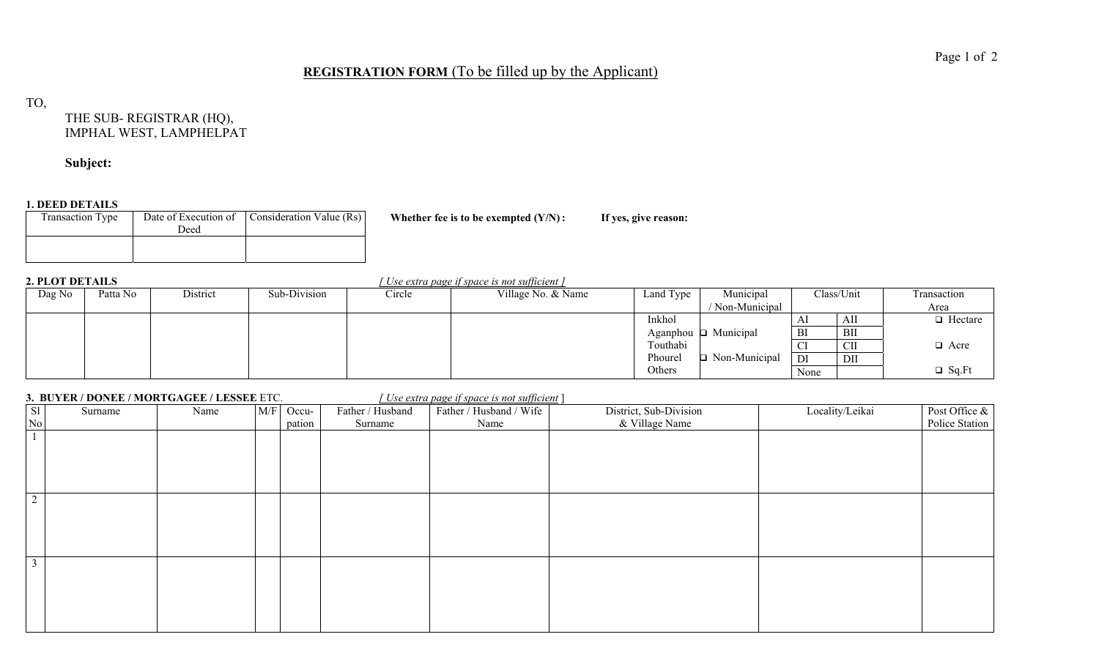## **REGISTRATION FORM** (To be filled up by the Applicant)

TO,

THE SUB- REGISTRAR (HQ), IMPHAL WEST, LAMPHELPAT

**Subject:** 

### **1. DEED DETAILS**

| <b>Transaction Type</b> | Deed | Date of Execution of Consideration Value (Rs) |  |
|-------------------------|------|-----------------------------------------------|--|
|                         |      |                                               |  |

Whether fee is to be exempted  $(Y/N)$ : If yes, give reason:

**2. PLOT DETAILS** *[ Use extra page if space is not sufficient ]*

| Dag No | Patta No | District | Sub-Division | Circle | Village No. & Name | Land Type       | Municipal       |           | Class/Unit | Transaction    |
|--------|----------|----------|--------------|--------|--------------------|-----------------|-----------------|-----------|------------|----------------|
|        |          |          |              |        |                    |                 | ' Non-Municipal |           |            | Area           |
|        |          |          |              |        |                    | Inkhol          |                 | AI        | AII        | $\Box$ Hectare |
|        |          |          |              |        |                    | Aganphou $\Box$ | Municipal       | BI        | BII        |                |
|        |          |          |              |        |                    | Touthabi        |                 | <b>CI</b> | <b>CII</b> | $\Box$ Acre    |
|        |          |          |              |        |                    | Phourel         | Non-Municipal   | DI        | DII        |                |
|        |          |          |              |        |                    | Others          |                 | None      |            | $\Box$ Sq.Ft   |

## **3. BUYER / DONEE / MORTGAGEE / LESSEE** ETC. *[ Use extra page if space is not sufficient* ]

| S1             | Surname | Name | M/F | Occu-  | Father / Husband | Father / Husband / Wife | District, Sub-Division | Locality/Leikai | Post Office &  |
|----------------|---------|------|-----|--------|------------------|-------------------------|------------------------|-----------------|----------------|
| $\rm No$       |         |      |     | pation | Surname          | Name                    | & Village Name         |                 | Police Station |
|                |         |      |     |        |                  |                         |                        |                 |                |
|                |         |      |     |        |                  |                         |                        |                 |                |
|                |         |      |     |        |                  |                         |                        |                 |                |
| $\overline{2}$ |         |      |     |        |                  |                         |                        |                 |                |
|                |         |      |     |        |                  |                         |                        |                 |                |
|                |         |      |     |        |                  |                         |                        |                 |                |
|                |         |      |     |        |                  |                         |                        |                 |                |
| $\mathfrak{Z}$ |         |      |     |        |                  |                         |                        |                 |                |
|                |         |      |     |        |                  |                         |                        |                 |                |
|                |         |      |     |        |                  |                         |                        |                 |                |
|                |         |      |     |        |                  |                         |                        |                 |                |